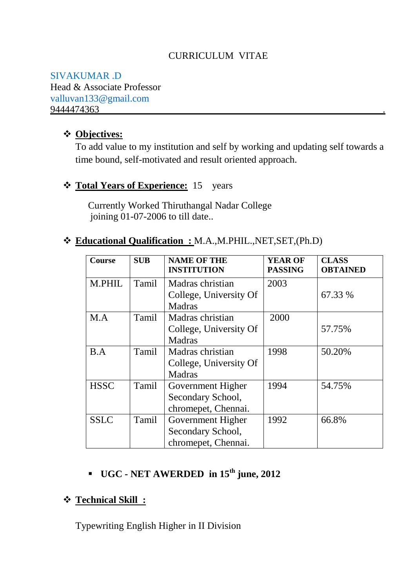## CURRICULUM VITAE

SIVAKUMAR .D Head & Associate Professor [valluvan133@gmail.com](mailto:valluvan133@gmail.com) 9444474363

### **Objectives:**

To add value to my institution and self by working and updating self towards a time bound, self-motivated and result oriented approach.

### **\*** Total Years of Experience: 15 years

Currently Worked Thiruthangal Nadar College joining 01-07-2006 to till date..

#### **Educational Qualification :** M.A.,M.PHIL.,NET,SET,(Ph.D)

| <b>Course</b> | <b>SUB</b> | <b>NAME OF THE</b><br><b>INSTITUTION</b> | <b>YEAR OF</b><br><b>PASSING</b> | <b>CLASS</b><br><b>OBTAINED</b> |
|---------------|------------|------------------------------------------|----------------------------------|---------------------------------|
| <b>M.PHIL</b> | Tamil      | Madras christian                         | 2003                             |                                 |
|               |            | College, University Of                   |                                  | 67.33 %                         |
|               |            | <b>Madras</b>                            |                                  |                                 |
| M.A           | Tamil      | Madras christian                         | 2000                             |                                 |
|               |            | College, University Of                   |                                  | 57.75%                          |
|               |            | <b>Madras</b>                            |                                  |                                 |
| B.A           | Tamil      | Madras christian                         | 1998                             | 50.20%                          |
|               |            | College, University Of                   |                                  |                                 |
|               |            | <b>Madras</b>                            |                                  |                                 |
| <b>HSSC</b>   | Tamil      | Government Higher                        | 1994                             | 54.75%                          |
|               |            | Secondary School,                        |                                  |                                 |
|               |            | chromepet, Chennai.                      |                                  |                                 |
| <b>SSLC</b>   | Tamil      | Government Higher                        | 1992                             | 66.8%                           |
|               |            | Secondary School,                        |                                  |                                 |
|               |            | chromepet, Chennai.                      |                                  |                                 |

# **UGC - NET AWERDED in 15th june, 2012**

### **Technical Skill :**

Typewriting English Higher in II Division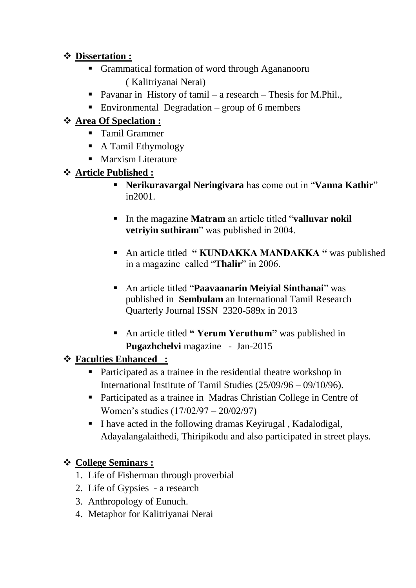## **Dissertation :**

- Grammatical formation of word through Agananooru ( Kalitriyanai Nerai)
- Pavanar in History of tamil a research Thesis for M.Phil.,
- Environmental Degradation group of 6 members

## **Area Of Speclation :**

- **Tamil Grammer**
- A Tamil Ethymology
- **Marxism Literature**

## **Article Published :**

- **Nerikuravargal Neringivara** has come out in "**Vanna Kathir**" in2001.
- In the magazine **Matram** an article titled "**valluvar nokil vetriyin suthiram**" was published in 2004.
- **An article titled " KUNDAKKA MANDAKKA"** was published in a magazine called "**Thalir**" in 2006.
- An article titled "**Paavaanarin Meiyial Sinthanai**" was published in **Sembulam** an International Tamil Research Quarterly Journal ISSN 2320-589x in 2013
- An article titled **" Yerum Yeruthum"** was published in **Pugazhchelvi** magazine - Jan-2015

## **Faculties Enhanced :**

- Participated as a trainee in the residential theatre workshop in International Institute of Tamil Studies (25/09/96 – 09/10/96).
- Participated as a trainee in Madras Christian College in Centre of Women's studies (17/02/97 – 20/02/97)
- I have acted in the following dramas Kevirugal, Kadalodigal, Adayalangalaithedi, Thiripikodu and also participated in street plays.

## **College Seminars :**

- 1. Life of Fisherman through proverbial
- 2. Life of Gypsies a research
- 3. Anthropology of Eunuch.
- 4. Metaphor for Kalitriyanai Nerai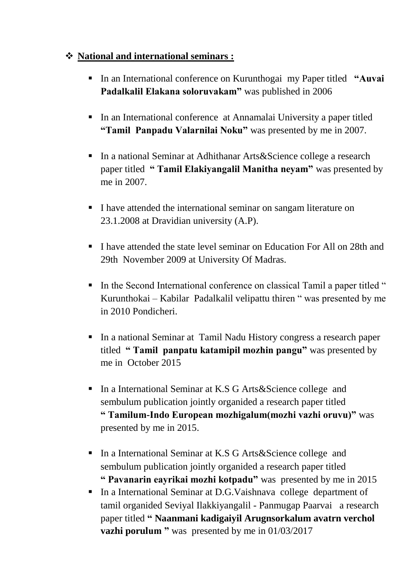## **National and international seminars :**

- In an International conference on Kurunthogai my Paper titled **"Auvai Padalkalil Elakana soloruvakam"** was published in 2006
- In an International conference at Annamalai University a paper titled **"Tamil Panpadu Valarnilai Noku"** was presented by me in 2007.
- In a national Seminar at Adhithanar Arts & Science college a research paper titled **" Tamil Elakiyangalil Manitha neyam"** was presented by me in 2007.
- I have attended the international seminar on sangam literature on 23.1.2008 at Dravidian university (A.P).
- I have attended the state level seminar on Education For All on 28th and 29th November 2009 at University Of Madras.
- In the Second International conference on classical Tamil a paper titled " Kurunthokai – Kabilar Padalkalil velipattu thiren " was presented by me in 2010 Pondicheri.
- In a national Seminar at Tamil Nadu History congress a research paper titled **" Tamil panpatu katamipil mozhin pangu"** was presented by me in October 2015
- In a International Seminar at K.S G Arts & Science college and sembulum publication jointly organided a research paper titled **" Tamilum-Indo European mozhigalum(mozhi vazhi oruvu)"** was presented by me in 2015.
- In a International Seminar at K.S G Arts & Science college and sembulum publication jointly organided a research paper titled **" Pavanarin eayrikai mozhi kotpadu"** was presented by me in 2015
- In a International Seminar at D.G.Vaishnava college department of tamil organided Seviyal Ilakkiyangalil - Panmugap Paarvai a research paper titled **" Naanmani kadigaiyil Arugnsorkalum avatrn verchol vazhi porulum** " was presented by me in 01/03/2017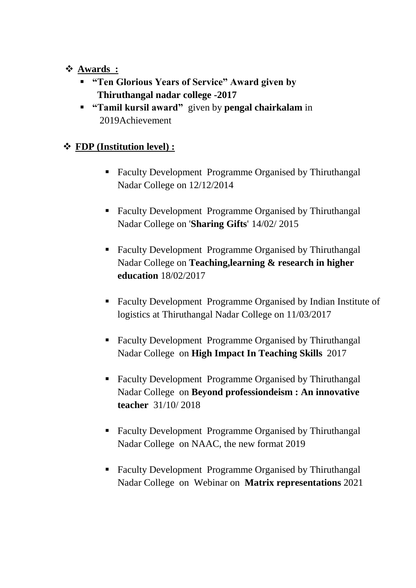- **Awards :**
	- **"Ten Glorious Years of Service" Award given by Thiruthangal nadar college -2017**
	- **"Tamil kursil award"** given by **pengal chairkalam** in 2019Achievement

## **FDP (Institution level) :**

- Faculty Development Programme Organised by Thiruthangal Nadar College on 12/12/2014
- Faculty Development Programme Organised by Thiruthangal Nadar College on '**Sharing Gifts**' 14/02/ 2015
- Faculty Development Programme Organised by Thiruthangal Nadar College on **Teaching,learning & research in higher education** 18/02/2017
- Faculty Development Programme Organised by Indian Institute of logistics at Thiruthangal Nadar College on 11/03/2017
- Faculty Development Programme Organised by Thiruthangal Nadar College on **High Impact In Teaching Skills** 2017
- Faculty Development Programme Organised by Thiruthangal Nadar College on **Beyond professiondeism : An innovative teacher** 31/10/ 2018
- Faculty Development Programme Organised by Thiruthangal Nadar College on NAAC, the new format 2019
- Faculty Development Programme Organised by Thiruthangal Nadar College on Webinar on **Matrix representations** 2021